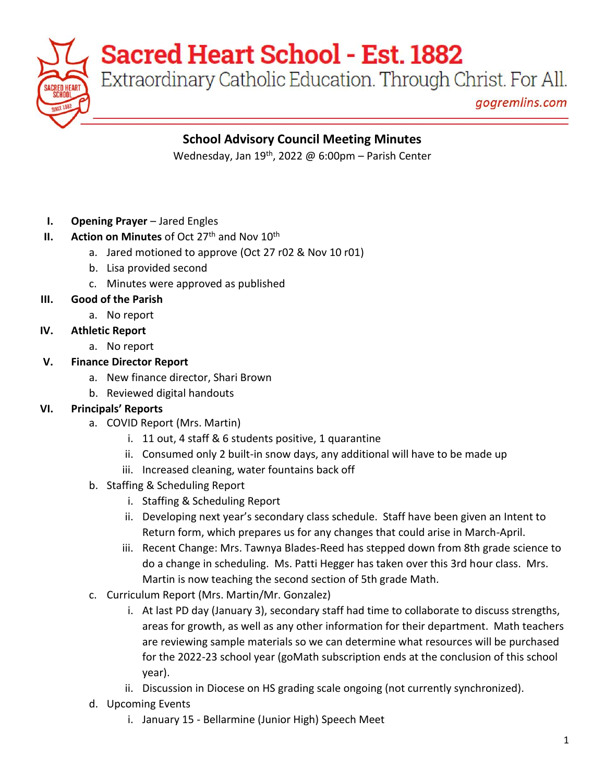**Sacred Heart School - Est. 1882** 

Extraordinary Catholic Education. Through Christ. For All.

gogremlins.com

### **School Advisory Council Meeting Minutes**

Wednesday, Jan 19<sup>th</sup>, 2022 @ 6:00pm – Parish Center

- **I. Opening Prayer** Jared Engles
- **II. Action on Minutes** of Oct 27<sup>th</sup> and Nov  $10^{th}$ 
	- a. Jared motioned to approve (Oct 27 r02 & Nov 10 r01)
	- b. Lisa provided second
	- c. Minutes were approved as published
- **III. Good of the Parish**
	- a. No report
- **IV. Athletic Report**
	- a. No report
- **V. Finance Director Report**
	- a. New finance director, Shari Brown
	- b. Reviewed digital handouts

### **VI. Principals' Reports**

- a. COVID Report (Mrs. Martin)
	- i. 11 out, 4 staff & 6 students positive, 1 quarantine
	- ii. Consumed only 2 built-in snow days, any additional will have to be made up
	- iii. Increased cleaning, water fountains back off
- b. Staffing & Scheduling Report
	- i. Staffing & Scheduling Report
	- ii. Developing next year's secondary class schedule. Staff have been given an Intent to Return form, which prepares us for any changes that could arise in March-April.
	- iii. Recent Change: Mrs. Tawnya Blades-Reed has stepped down from 8th grade science to do a change in scheduling. Ms. Patti Hegger has taken over this 3rd hour class. Mrs. Martin is now teaching the second section of 5th grade Math.
- c. Curriculum Report (Mrs. Martin/Mr. Gonzalez)
	- i. At last PD day (January 3), secondary staff had time to collaborate to discuss strengths, areas for growth, as well as any other information for their department. Math teachers are reviewing sample materials so we can determine what resources will be purchased for the 2022-23 school year (goMath subscription ends at the conclusion of this school year).
	- ii. Discussion in Diocese on HS grading scale ongoing (not currently synchronized).
- d. Upcoming Events
	- i. January 15 Bellarmine (Junior High) Speech Meet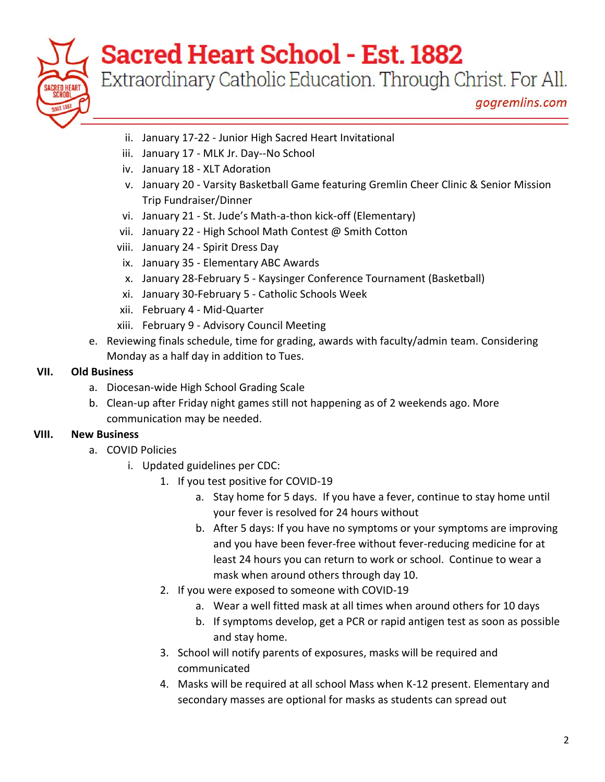

# **Sacred Heart School - Est. 1882**

Extraordinary Catholic Education. Through Christ. For All.

gogremlins.com

- ii. January 17-22 Junior High Sacred Heart Invitational
- iii. January 17 MLK Jr. Day--No School
- iv. January 18 XLT Adoration
- v. January 20 Varsity Basketball Game featuring Gremlin Cheer Clinic & Senior Mission Trip Fundraiser/Dinner
- vi. January 21 St. Jude's Math-a-thon kick-off (Elementary)
- vii. January 22 High School Math Contest @ Smith Cotton
- viii. January 24 Spirit Dress Day
- ix. January 35 Elementary ABC Awards
- x. January 28-February 5 Kaysinger Conference Tournament (Basketball)
- xi. January 30-February 5 Catholic Schools Week
- xii. February 4 Mid-Quarter
- xiii. February 9 Advisory Council Meeting
- e. Reviewing finals schedule, time for grading, awards with faculty/admin team. Considering Monday as a half day in addition to Tues.

#### **VII. Old Business**

- a. Diocesan-wide High School Grading Scale
- b. Clean-up after Friday night games still not happening as of 2 weekends ago. More communication may be needed.

#### **VIII. New Business**

- a. COVID Policies
	- i. Updated guidelines per CDC:
		- 1. If you test positive for COVID-19
			- a. Stay home for 5 days. If you have a fever, continue to stay home until your fever is resolved for 24 hours without
			- b. After 5 days: If you have no symptoms or your symptoms are improving and you have been fever-free without fever-reducing medicine for at least 24 hours you can return to work or school. Continue to wear a mask when around others through day 10.
		- 2. If you were exposed to someone with COVID-19
			- a. Wear a well fitted mask at all times when around others for 10 days
			- b. If symptoms develop, get a PCR or rapid antigen test as soon as possible and stay home.
		- 3. School will notify parents of exposures, masks will be required and communicated
		- 4. Masks will be required at all school Mass when K-12 present. Elementary and secondary masses are optional for masks as students can spread out